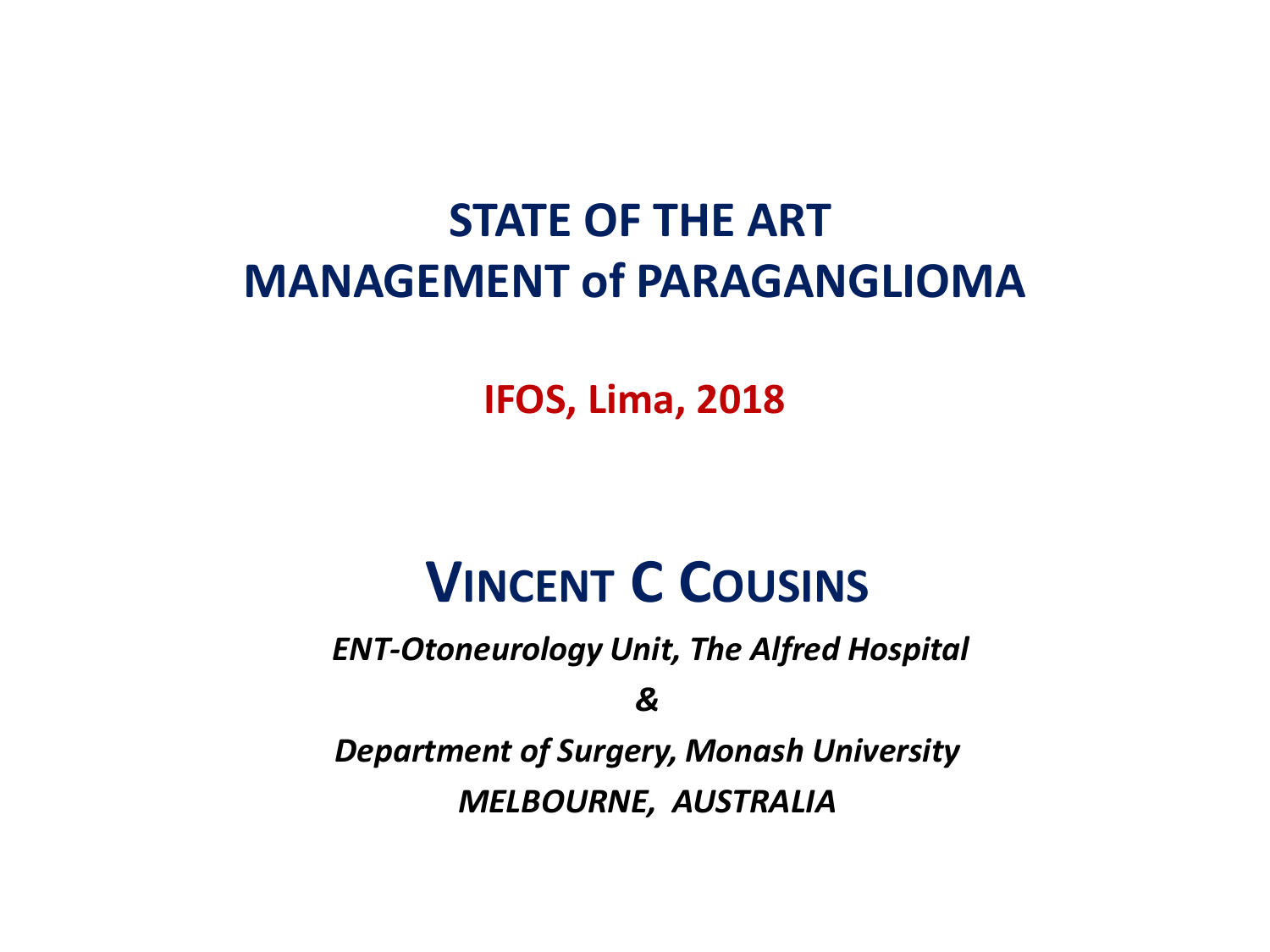#### **STATE OF THE ART MANAGEMENT of PARAGANGLIOMA**

**IFOS, Lima, 2018**

#### **VINCENT C COUSINS**

*ENT-Otoneurology Unit, The Alfred Hospital*

*&*

*Department of Surgery, Monash University MELBOURNE, AUSTRALIA*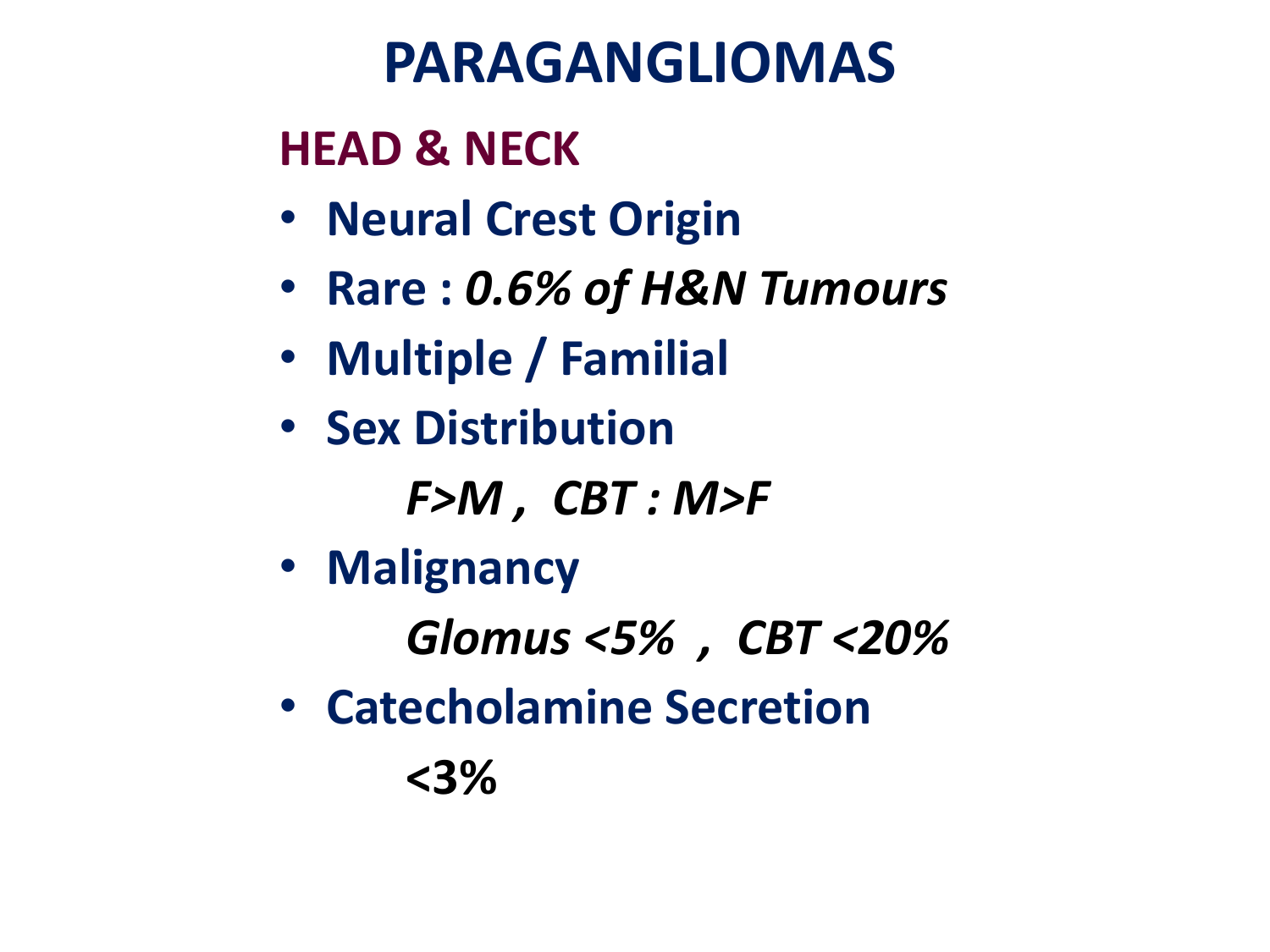# **PARAGANGLIOMAS**

#### **HEAD & NECK**

- **Neural Crest Origin**
- **Rare :** *0.6% of H&N Tumours*
- **Multiple / Familial**
- **Sex Distribution**

*F>M , CBT : M>F* 

• **Malignancy** 

*Glomus <5% , CBT <20%*

• **Catecholamine Secretion** 

**<3%**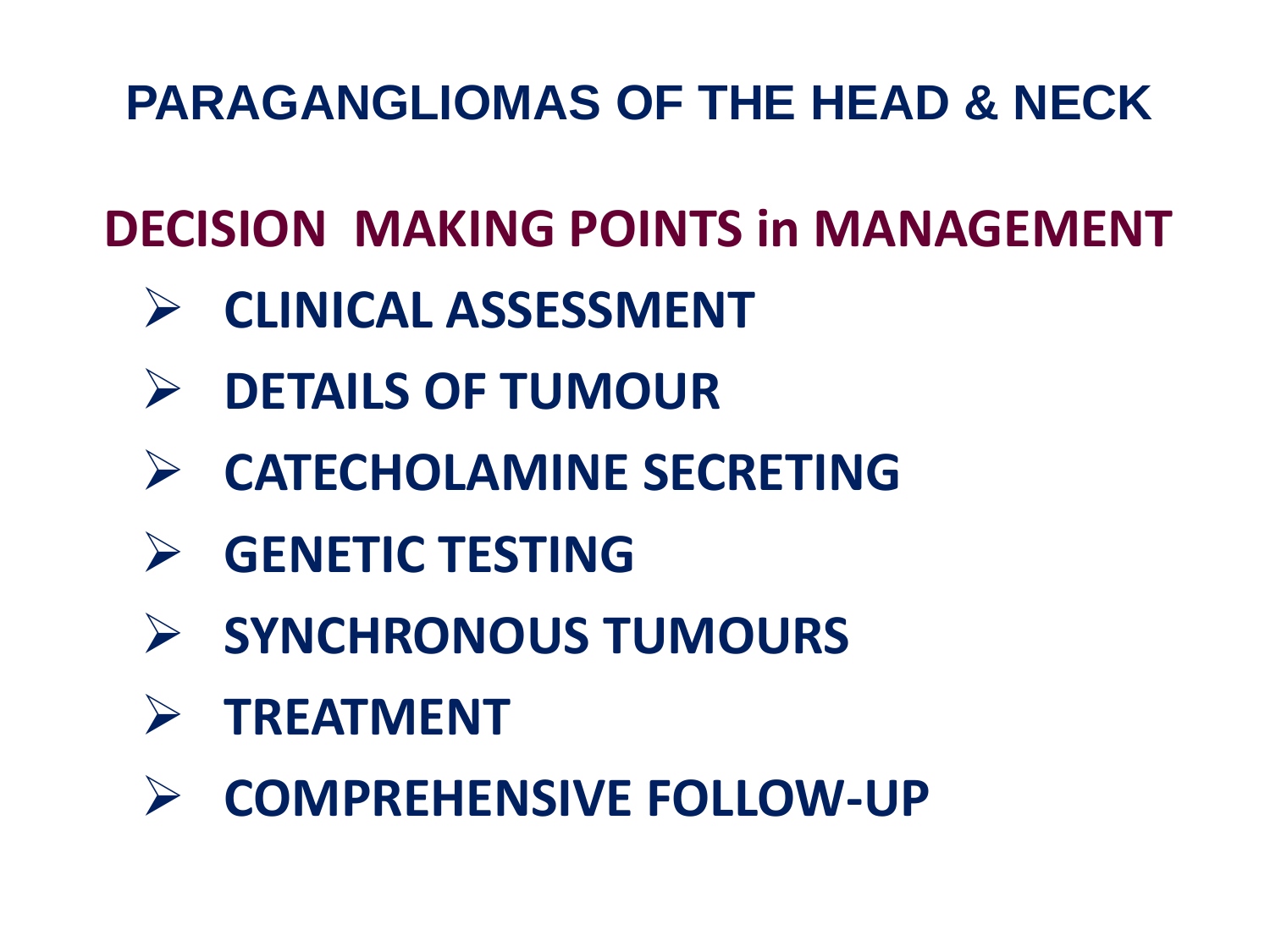## **DECISION MAKING POINTS in MANAGEMENT**

- **CLINICAL ASSESSMENT**
- **DETAILS OF TUMOUR**
- **CATECHOLAMINE SECRETING**
- **GENETIC TESTING**
- **SYNCHRONOUS TUMOURS**
- **TREATMENT**
- **COMPREHENSIVE FOLLOW-UP**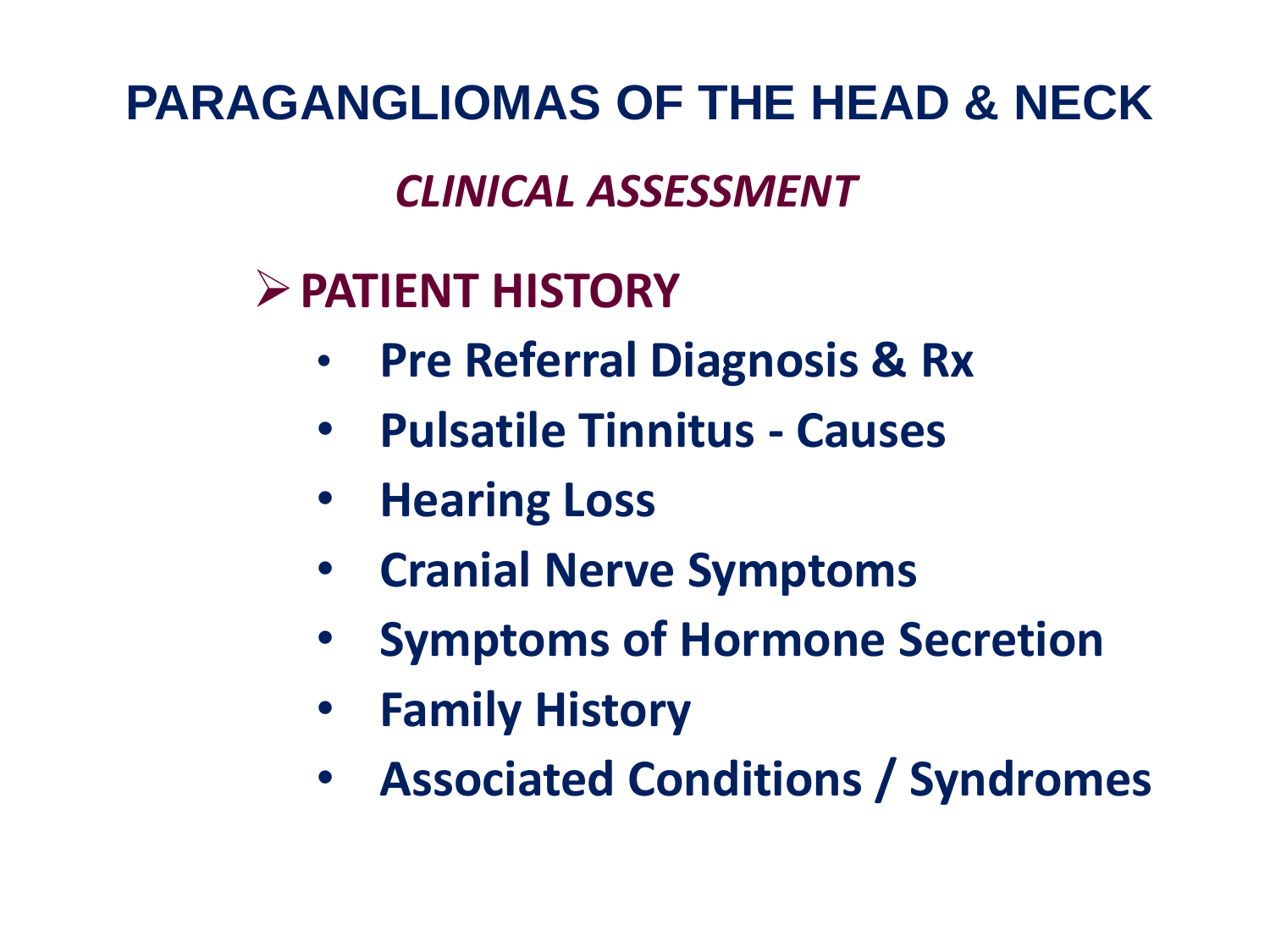#### *CLINICAL ASSESSMENT*

#### **PATIENT HISTORY**

- **Pre Referral Diagnosis & Rx**
- **Pulsatile Tinnitus - Causes**
- **Hearing Loss**
- **Cranial Nerve Symptoms**
- • **Symptoms of Hormone Secretion**
- **Family History**
- **Associated Conditions / Syndromes**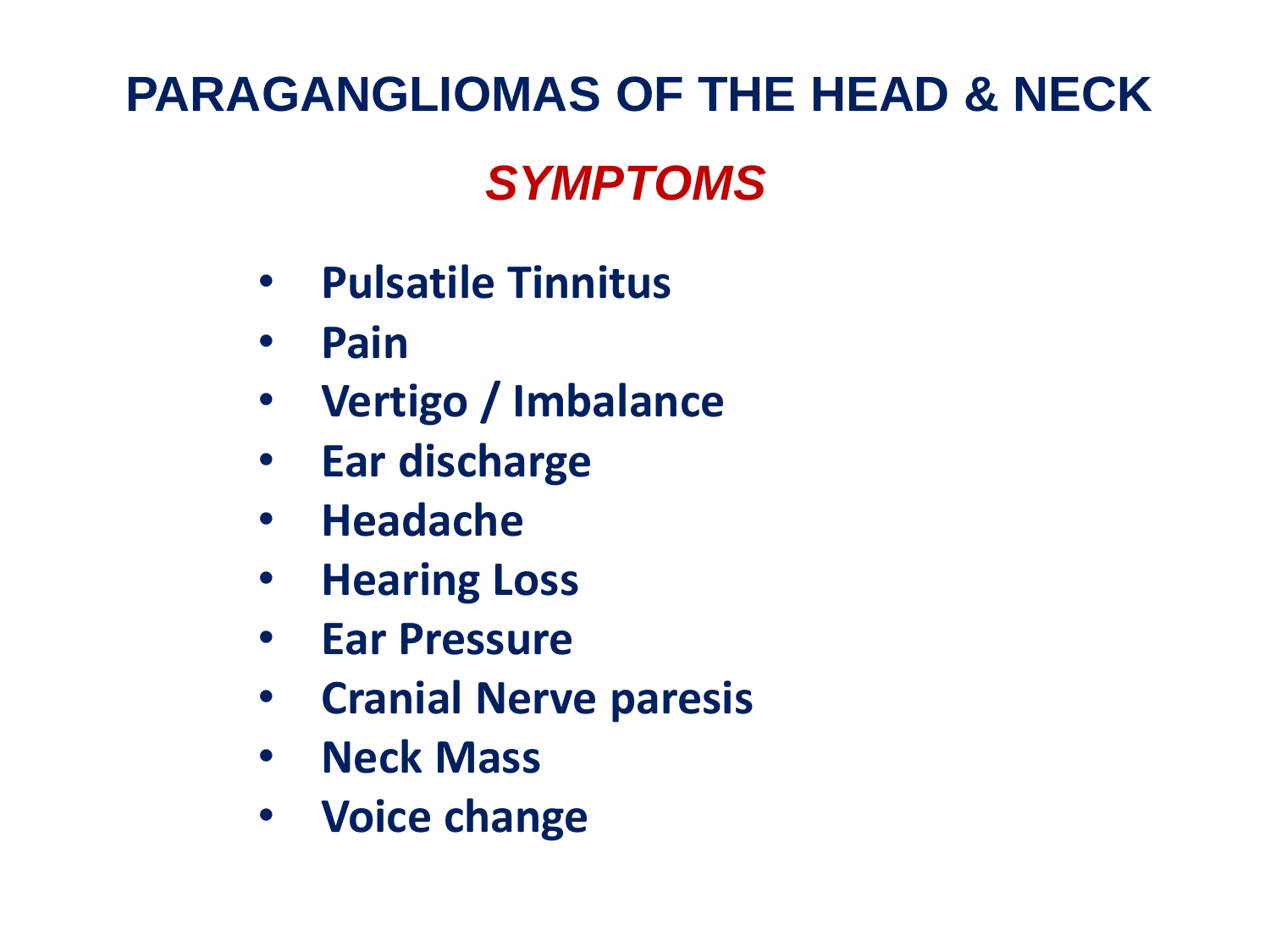# **PARAGANGLIOMAS OF THE HEAD & NECK** *SYMPTOMS*

- **Pulsatile Tinnitus**
- **Pain**
- **Vertigo / Imbalance**
- **Ear discharge**
- **Headache**
- **Hearing Loss**
- **Ear Pressure**
- **Cranial Nerve paresis**
- **Neck Mass**
- **Voice change**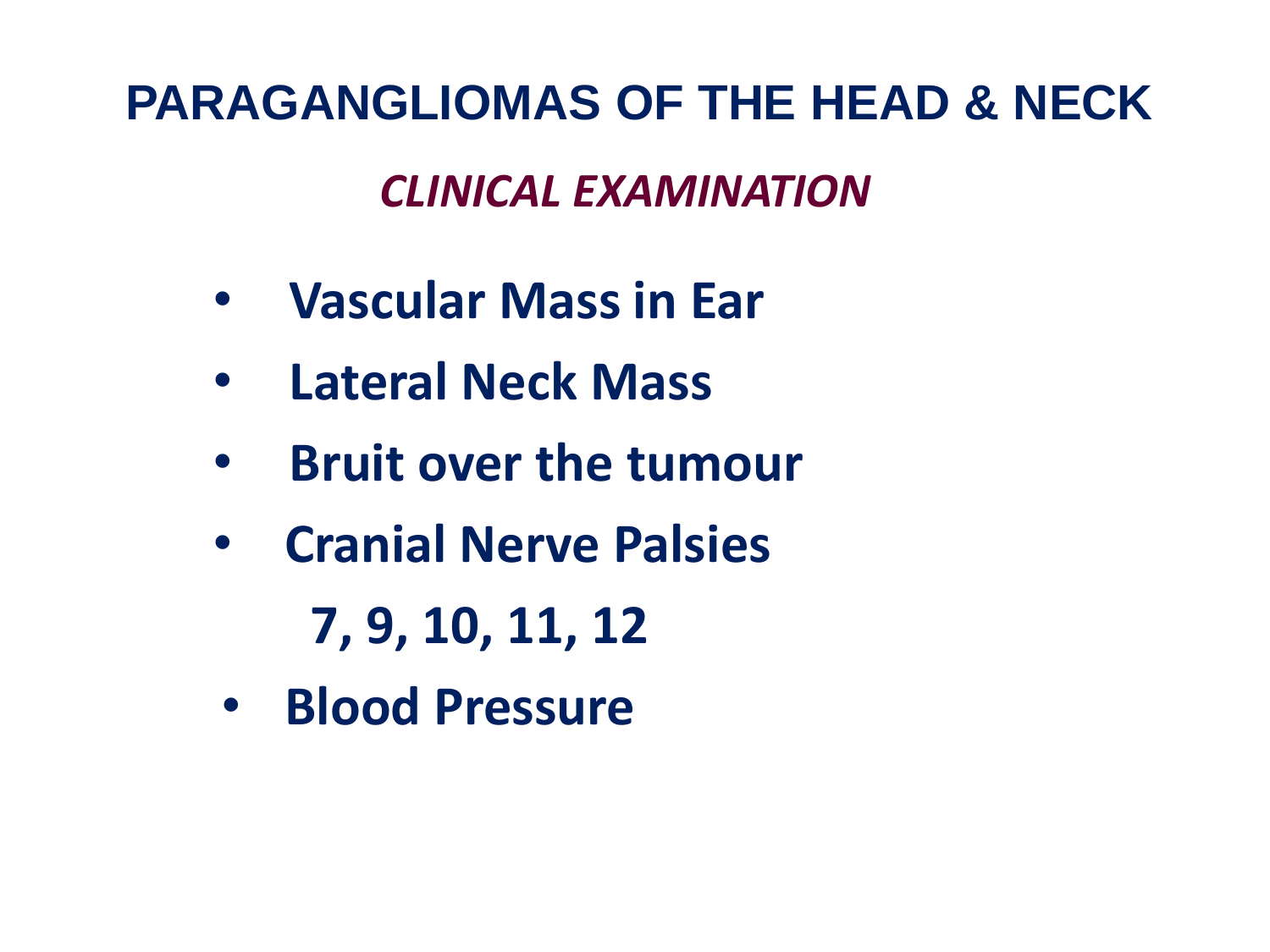**PARAGANGLIOMAS OF THE HEAD & NECK** *CLINICAL EXAMINATION*

- **Vascular Mass in Ear**
- **Lateral Neck Mass**
- **Bruit over the tumour**
- **Cranial Nerve Palsies**

**7, 9, 10, 11, 12**

• **Blood Pressure**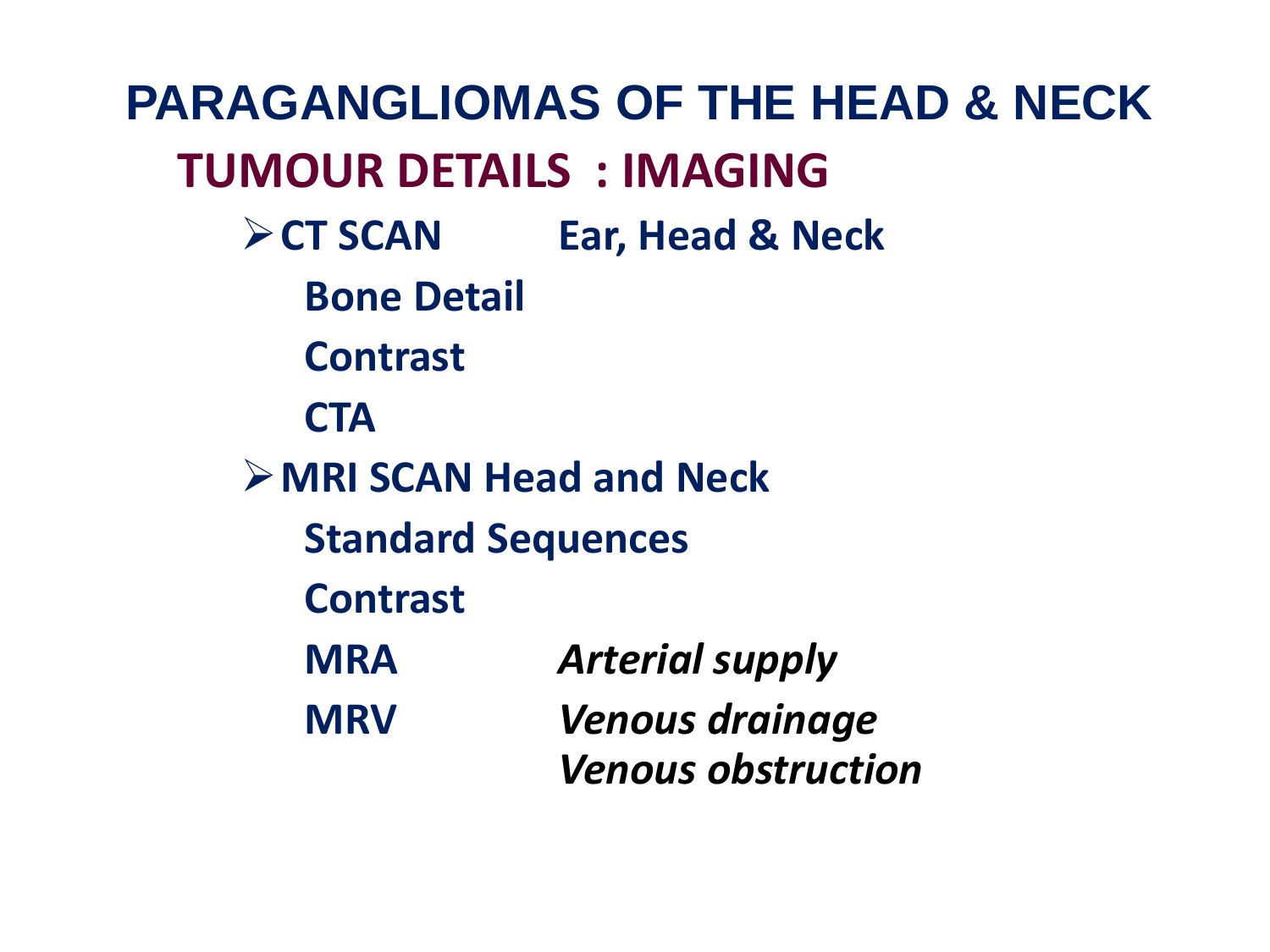**PARAGANGLIOMAS OF THE HEAD & NECK TUMOUR DETAILS : IMAGING CT SCAN Ear, Head & Neck Bone Detail Contrast CTA MRI SCAN Head and Neck Standard Sequences Contrast MRA** *Arterial supply* **MRV** *Venous drainage Venous obstruction*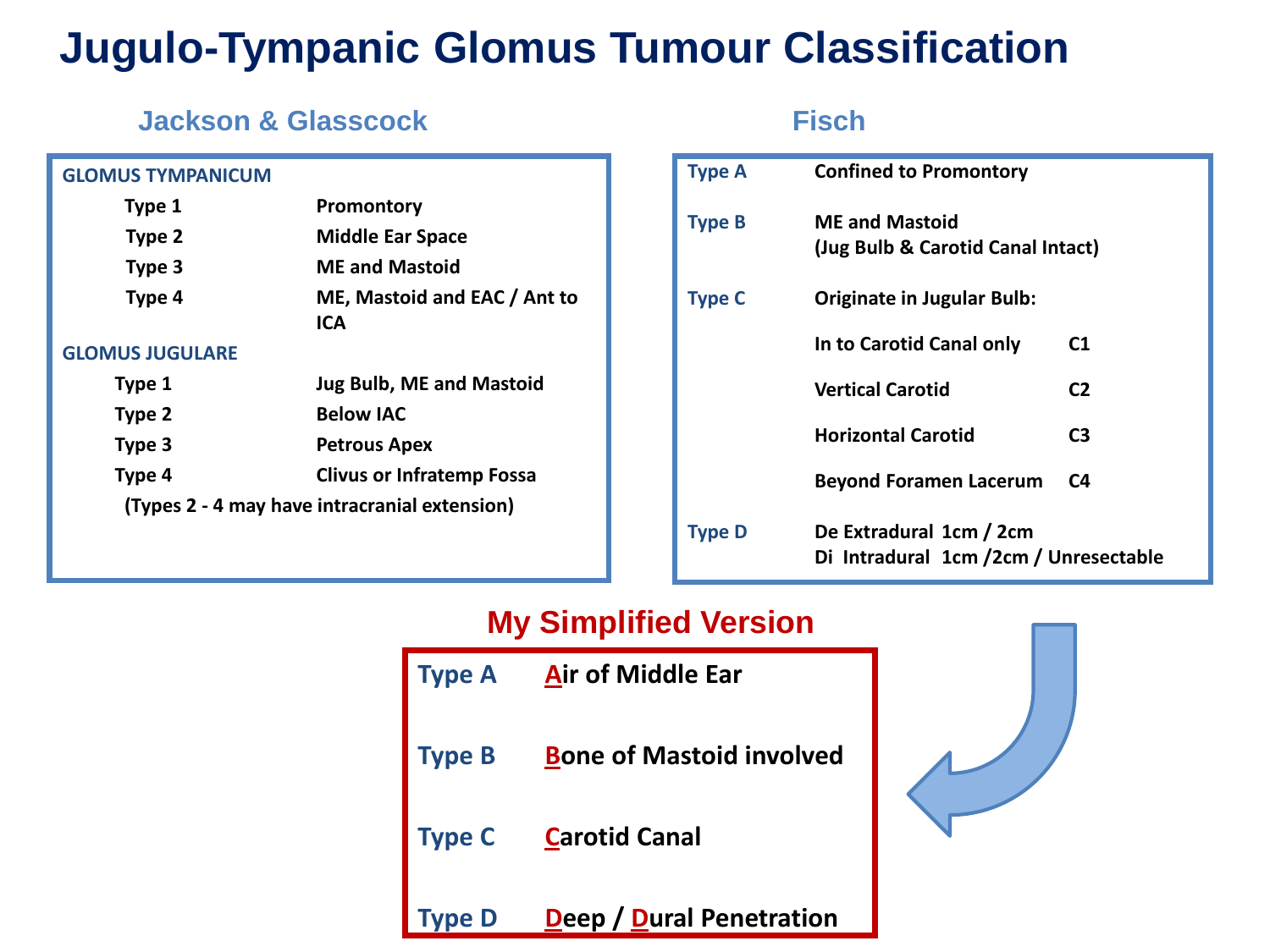#### **Jugulo-Tympanic Glomus Tumour Classification**

#### *Jackson & Glasscock* Fisch

#### **GLOMUS TYMPANICUM Type 1 Promontory Type 2 Middle Ear Space Type 3 ME and Mastoid Type 4 ME, Mastoid and EAC / Ant to ICA GLOMUS JUGULARE Type 1 Jug Bulb, ME and Mastoid**

| Type 2 | <b>Below IAC</b>                              |
|--------|-----------------------------------------------|
| Type 3 | <b>Petrous Apex</b>                           |
| Type 4 | <b>Clivus or Infratemp Fossa</b>              |
|        | (Types 2 - 4 may have intracranial extension) |

| <b>Type A</b> | <b>Confined to Promontory</b>                                    |                |  |  |  |
|---------------|------------------------------------------------------------------|----------------|--|--|--|
| <b>Type B</b> | <b>ME and Mastoid</b><br>(Jug Bulb & Carotid Canal Intact)       |                |  |  |  |
| <b>Type C</b> | Originate in Jugular Bulb:                                       |                |  |  |  |
|               | In to Carotid Canal only                                         | C1             |  |  |  |
|               | <b>Vertical Carotid</b>                                          | C <sub>2</sub> |  |  |  |
|               | <b>Horizontal Carotid</b>                                        | C <sub>3</sub> |  |  |  |
|               | <b>Beyond Foramen Lacerum</b>                                    | C4             |  |  |  |
| <b>Type D</b> | De Extradural 1cm / 2cm<br>Di Intradural 1cm /2cm / Unresectable |                |  |  |  |

#### **My Simplified Version**

| Type A        | Air of Middle Ear               |  |
|---------------|---------------------------------|--|
| <b>Type B</b> | <b>Bone of Mastoid involved</b> |  |
| <b>Type C</b> | <b>Carotid Canal</b>            |  |
|               | Deep / Dural Penetration        |  |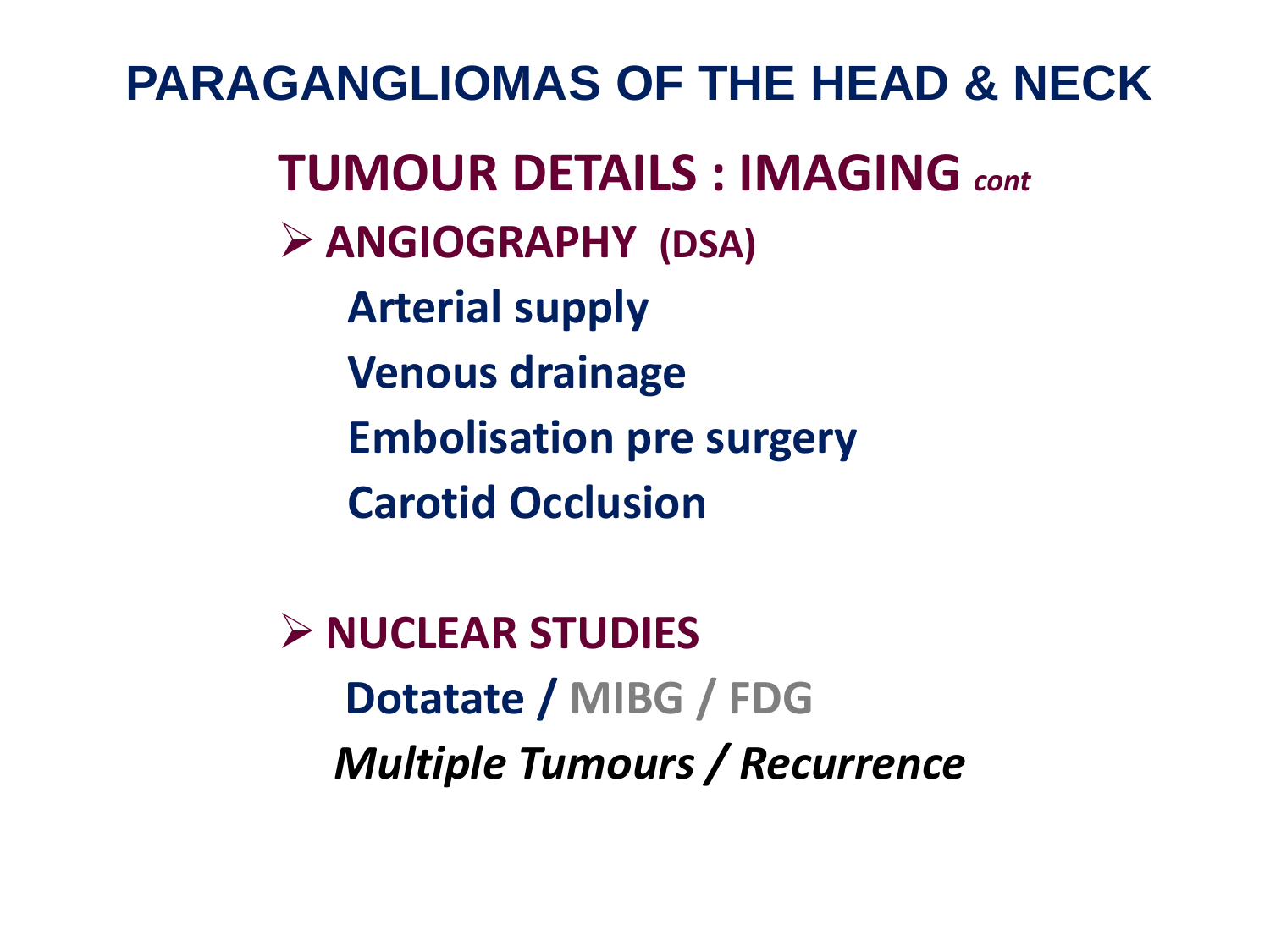**PARAGANGLIOMAS OF THE HEAD & NECK TUMOUR DETAILS : IMAGING** *cont* **ANGIOGRAPHY (DSA) Arterial supply Venous drainage Embolisation pre surgery Carotid Occlusion**

> **NUCLEAR STUDIES Dotatate / MIBG / FDG** *Multiple Tumours / Recurrence*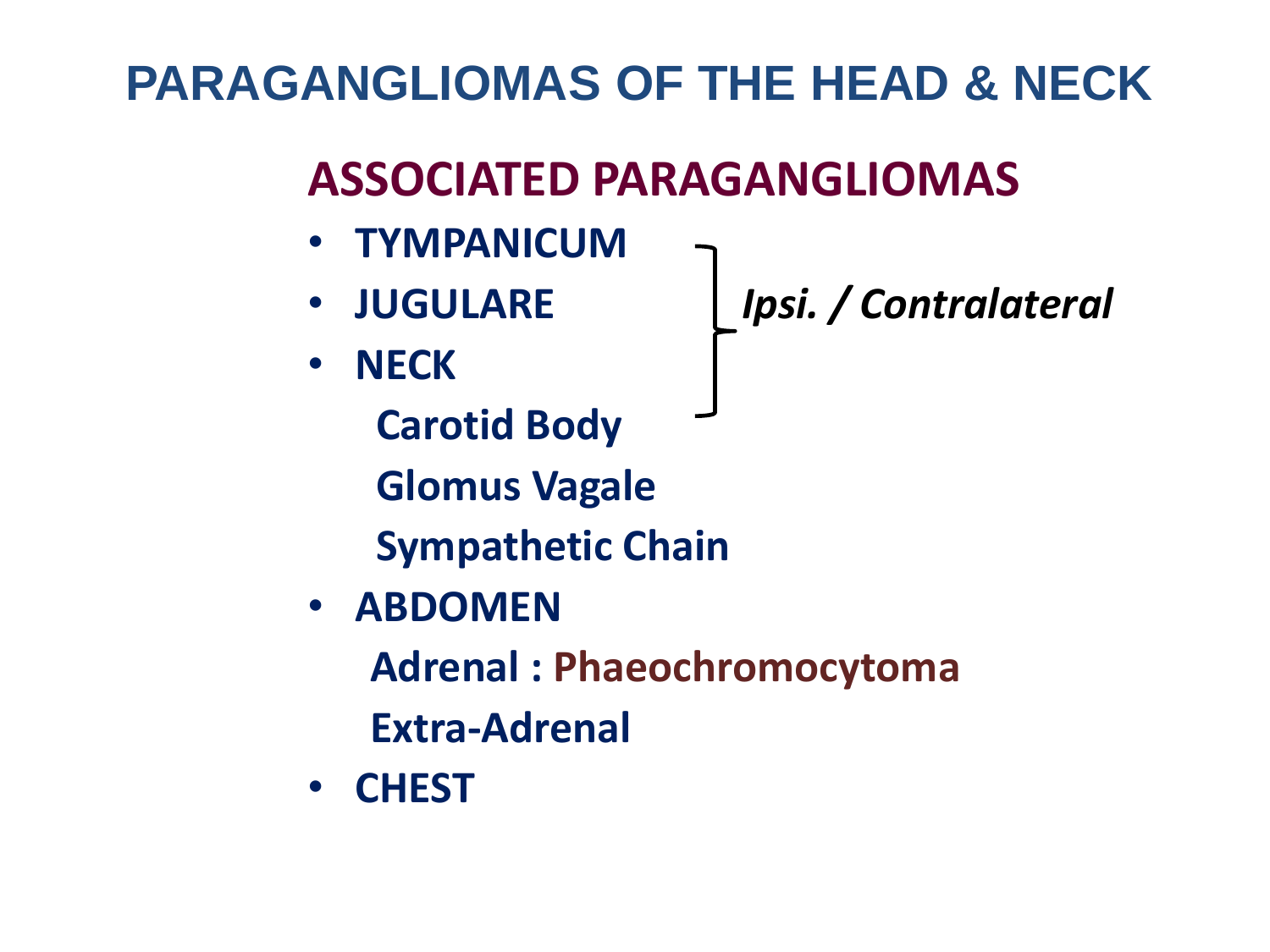## **ASSOCIATED PARAGANGLIOMAS**

- **TYMPANICUM**
- 
- **NECK**

• **JUGULARE** *Ipsi. / Contralateral*

 **Carotid Body Glomus Vagale**

 **Sympathetic Chain**

• **ABDOMEN**

 **Adrenal : Phaeochromocytoma**

 **Extra-Adrenal**

• **CHEST**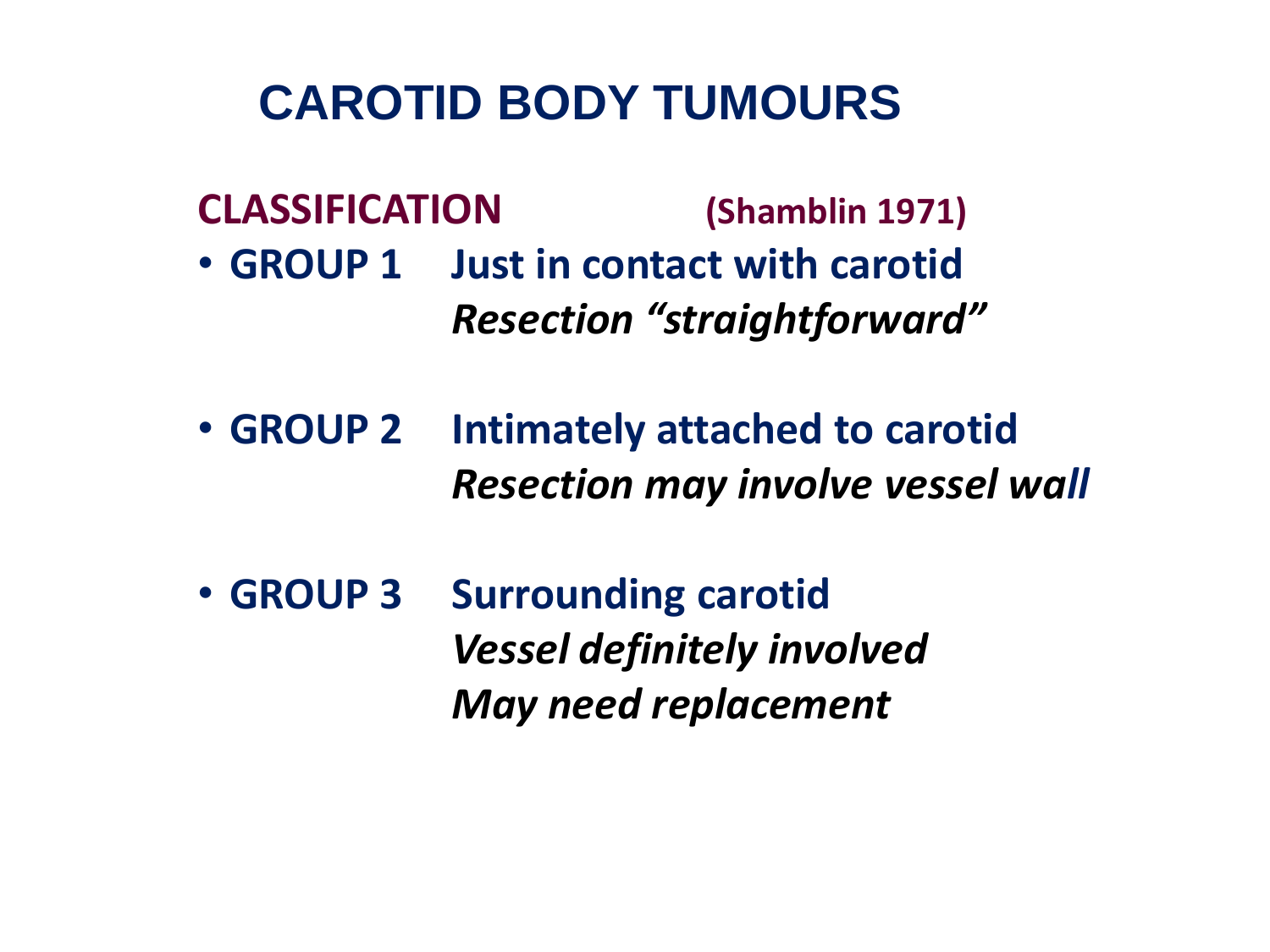#### **CAROTID BODY TUMOURS**

**CLASSIFICATION (Shamblin 1971)**

- **GROUP 1 Just in contact with carotid** *Resection "straightforward"*
- **GROUP 2 Intimately attached to carotid** *Resection may involve vessel wall*
- **GROUP 3 Surrounding carotid** *Vessel definitely involved May need replacement*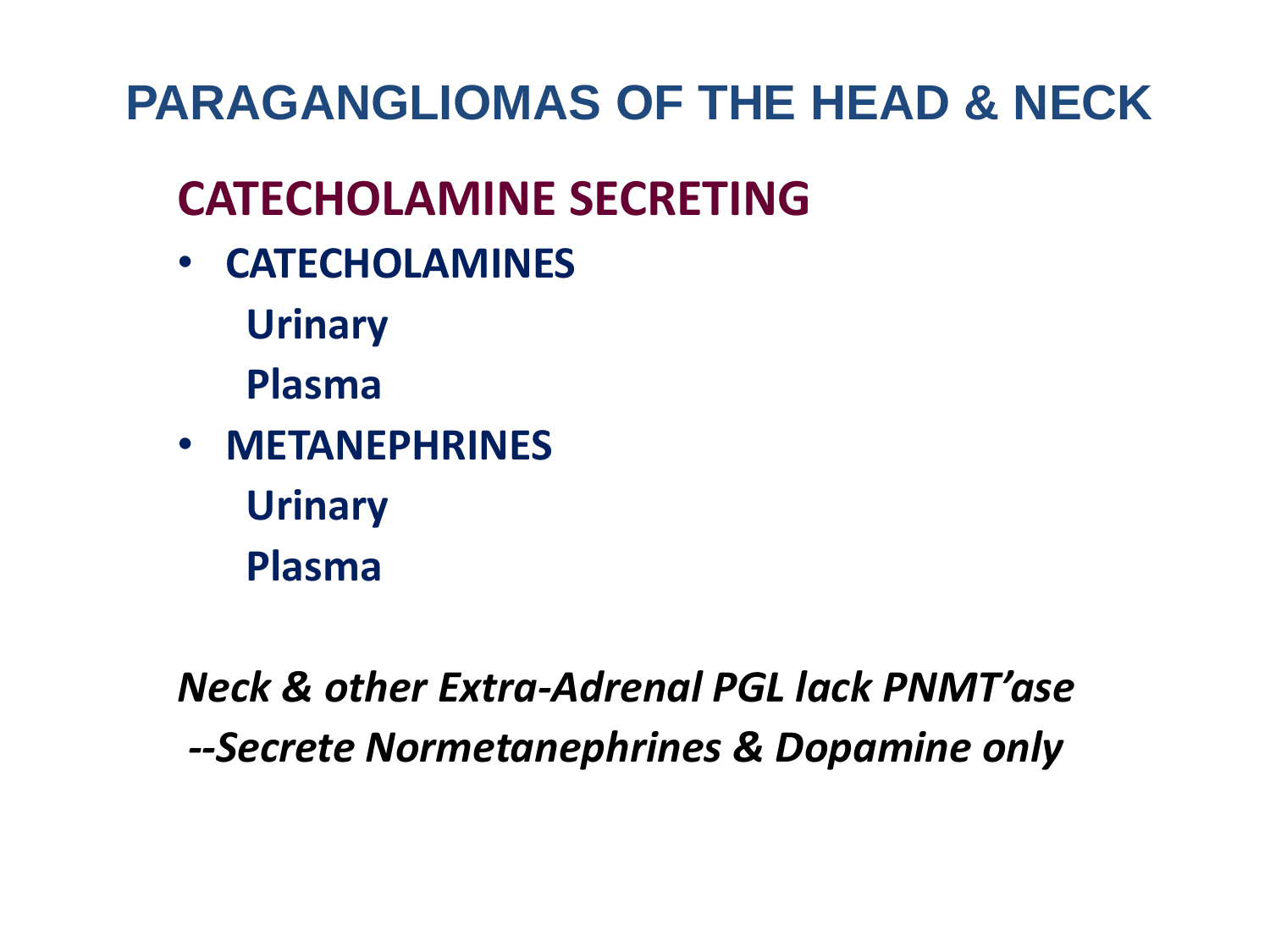## **CATECHOLAMINE SECRETING**

- **CATECHOLAMINES** 
	- **Urinary**
	- **Plasma**
- **METANEPHRINES Urinary Plasma**

*Neck & other Extra-Adrenal PGL lack PNMT'ase --Secrete Normetanephrines & Dopamine only*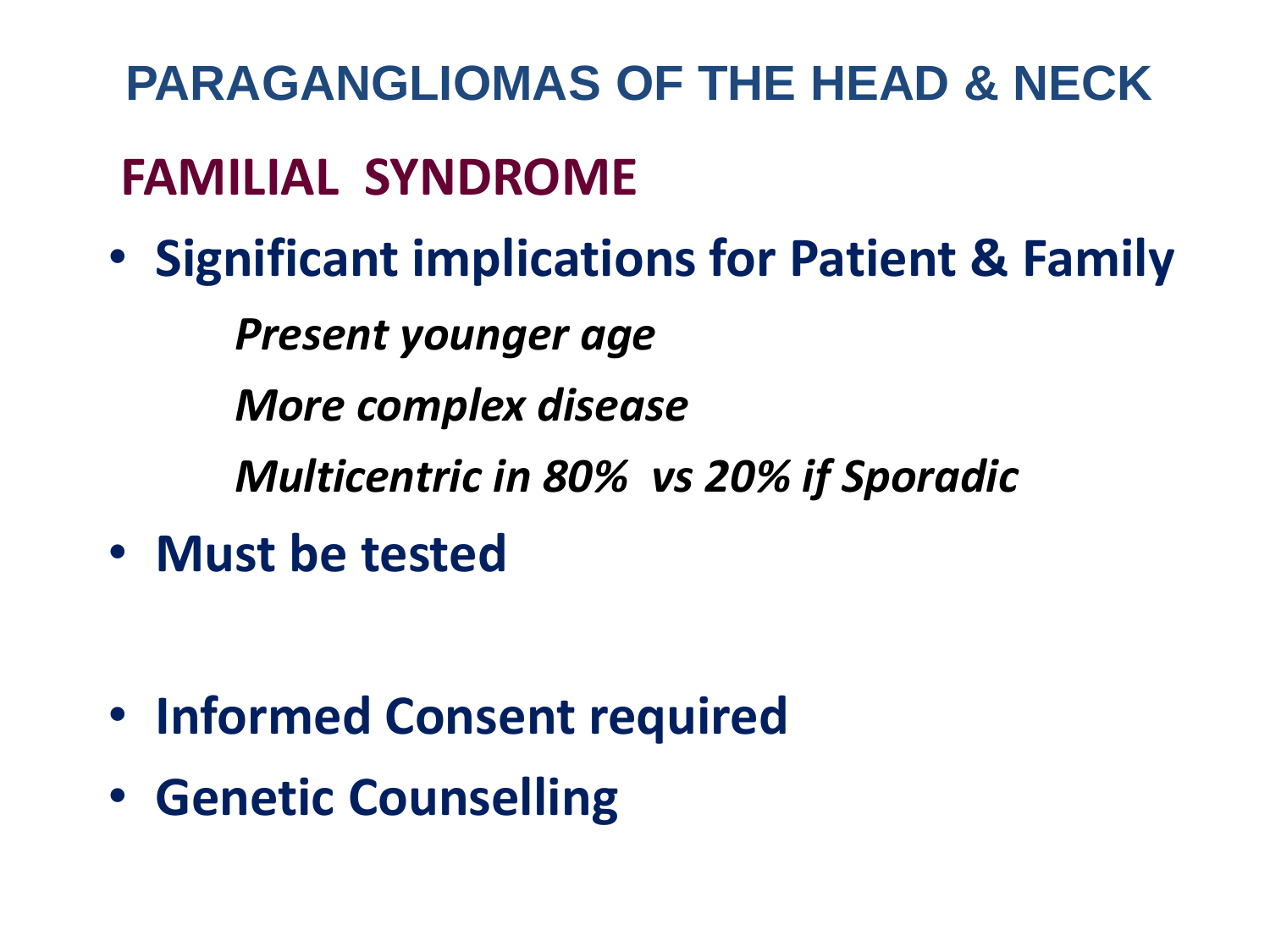# **PARAGANGLIOMAS OF THE HEAD & NECK FAMILIAL SYNDROME**

• **Significant implications for Patient & Family**

*Present younger age*

*More complex disease*

*Multicentric in 80% vs 20% if Sporadic*

• **Must be tested** 

- **Informed Consent required**
- **Genetic Counselling**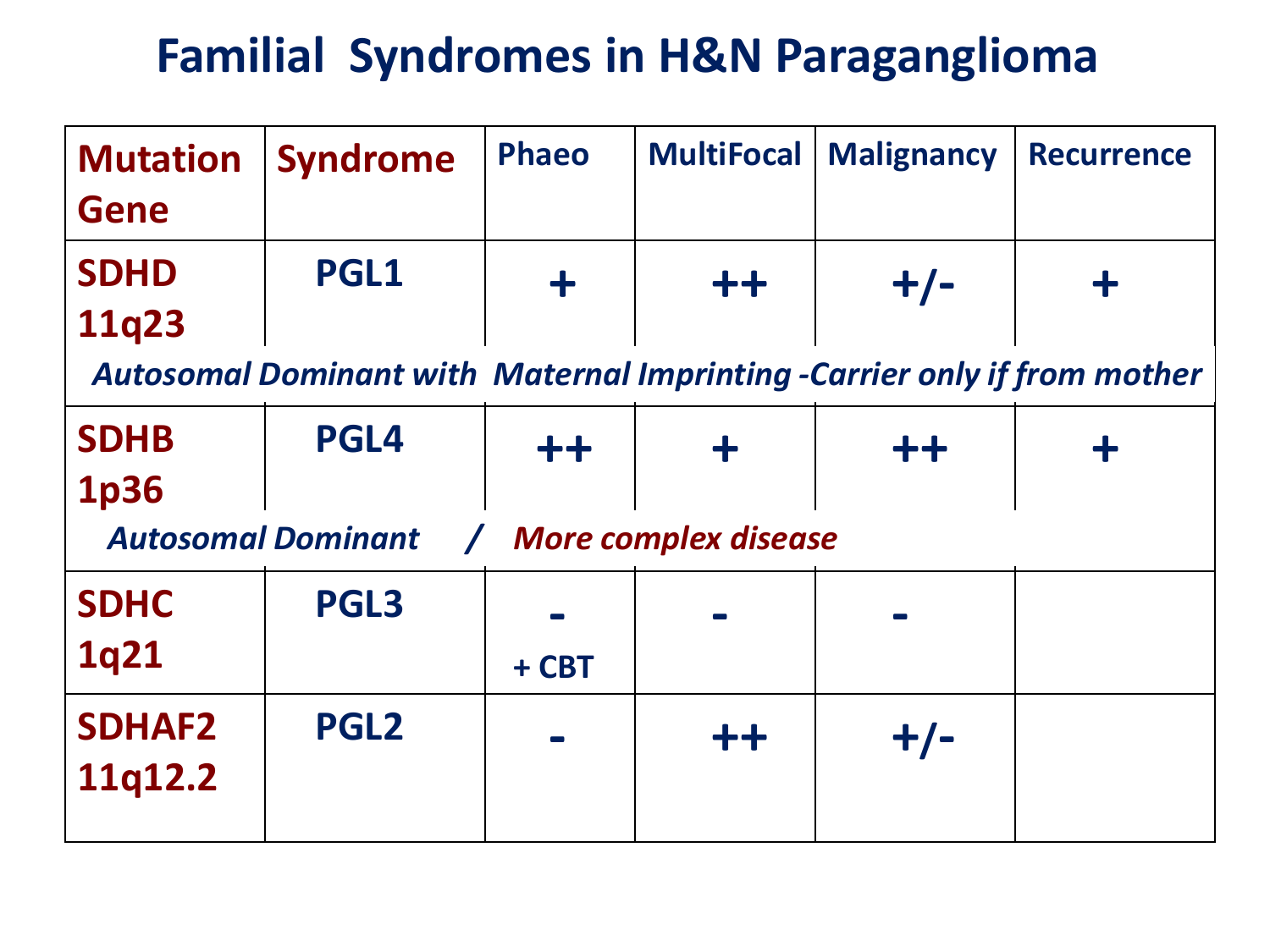#### **Familial Syndromes in H&N Paraganglioma**

| <b>Mutation</b><br><b>Gene</b>                                                  | <b>Syndrome</b> | <b>Phaeo</b> | <b>MultiFocal</b> | <b>Malignancy</b> | <b>Recurrence</b> |  |  |  |
|---------------------------------------------------------------------------------|-----------------|--------------|-------------------|-------------------|-------------------|--|--|--|
| <b>SDHD</b><br>11q23                                                            | <b>PGL1</b>     | ╋            | $+ +$             | $+/-$             |                   |  |  |  |
| <b>Autosomal Dominant with Maternal Imprinting -Carrier only if from mother</b> |                 |              |                   |                   |                   |  |  |  |
| <b>SDHB</b><br><b>1p36</b>                                                      | <b>PGL4</b>     | $++$         |                   | $+ +$             |                   |  |  |  |
| <b>Autosomal Dominant</b><br><b>More complex disease</b><br>$\sqrt{2}$          |                 |              |                   |                   |                   |  |  |  |
| <b>SDHC</b><br>1q21                                                             | <b>PGL3</b>     | + CBT        |                   |                   |                   |  |  |  |
| <b>SDHAF2</b><br>11q12.2                                                        | <b>PGL2</b>     |              | $++$              | $+/-$             |                   |  |  |  |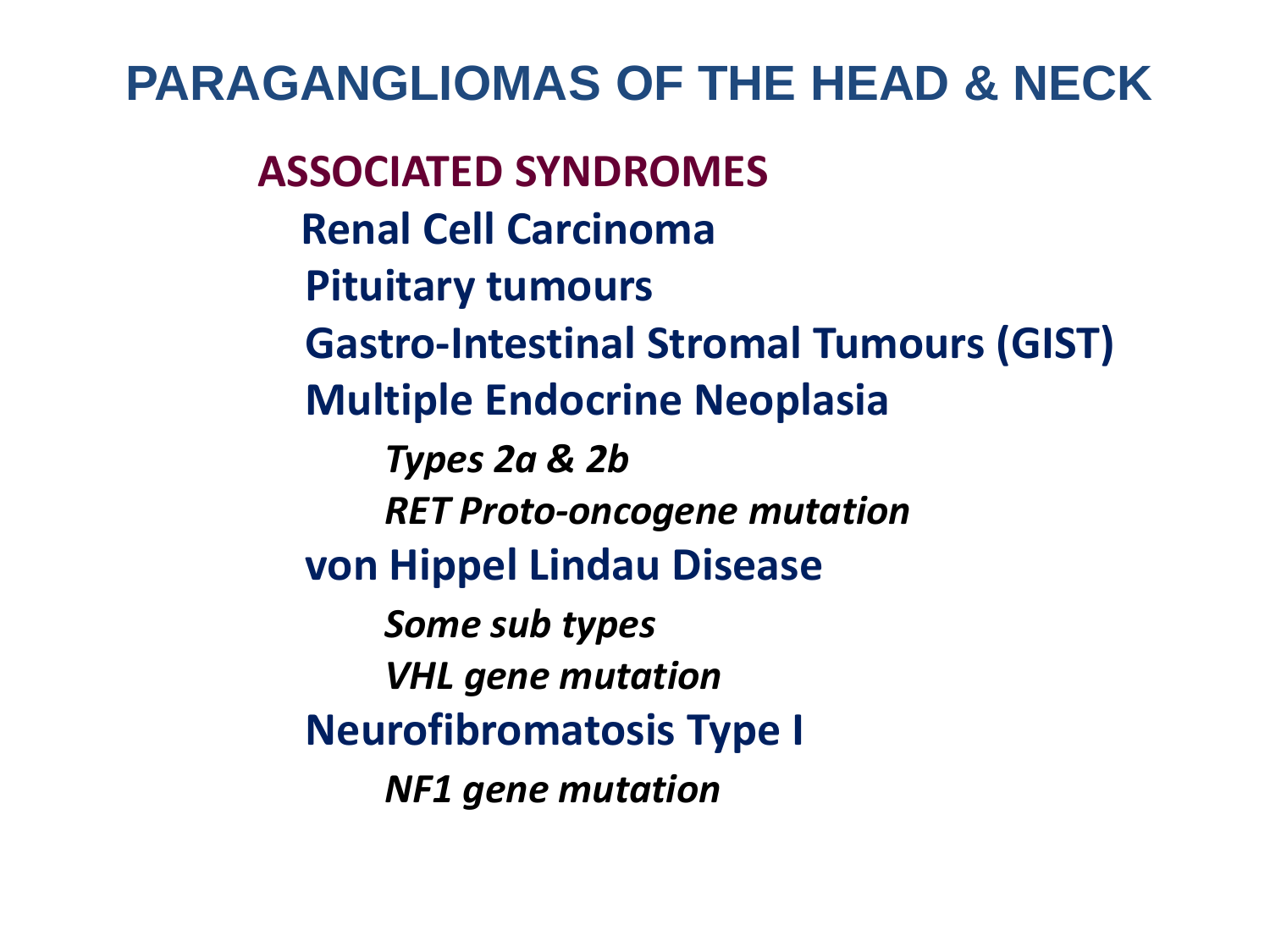**ASSOCIATED SYNDROMES Renal Cell Carcinoma Pituitary tumours Gastro-Intestinal Stromal Tumours (GIST) Multiple Endocrine Neoplasia** *Types 2a & 2b RET Proto-oncogene mutation* **von Hippel Lindau Disease** *Some sub types VHL gene mutation* **Neurofibromatosis Type I** *NF1 gene mutation*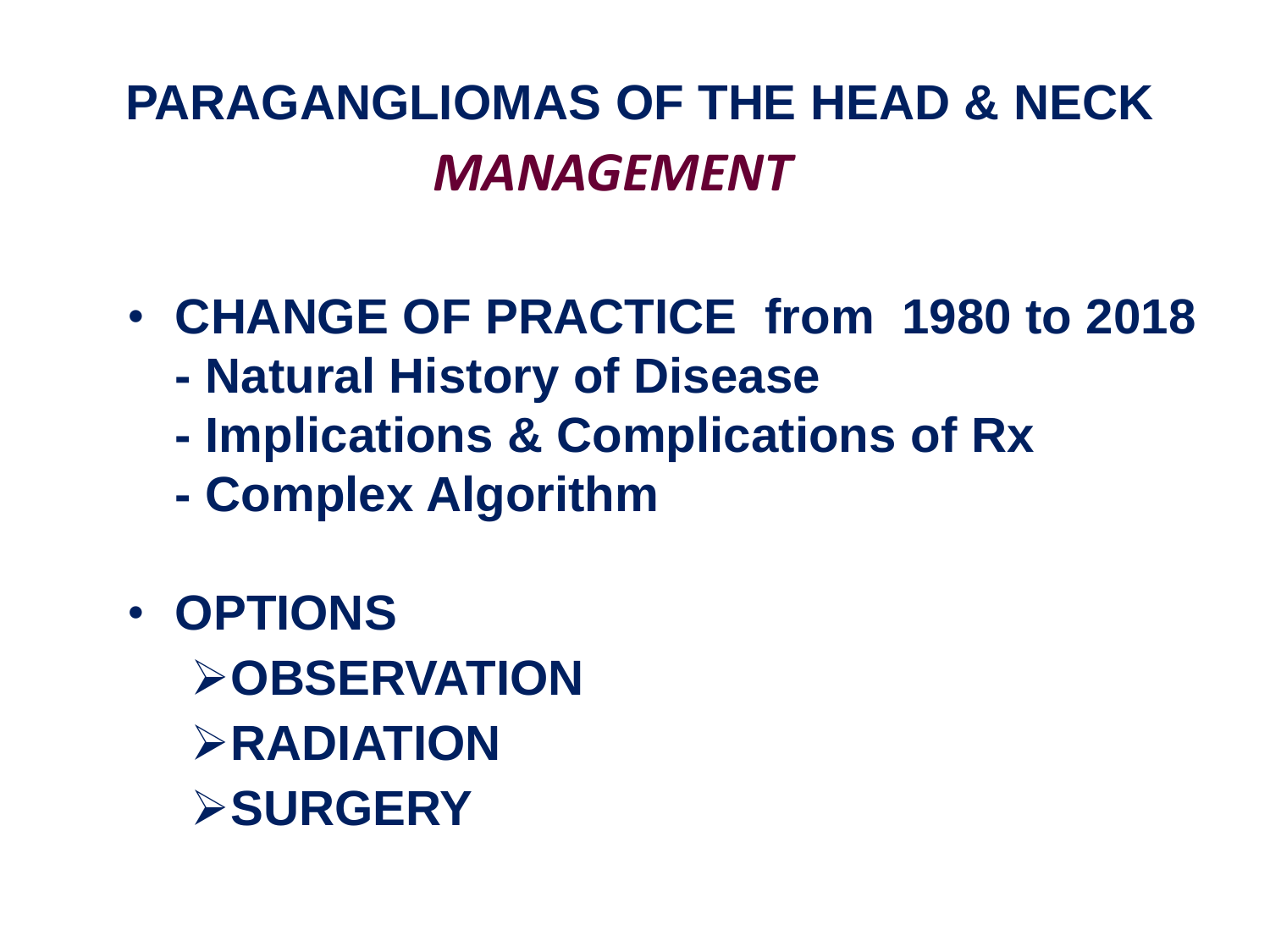# **PARAGANGLIOMAS OF THE HEAD & NECK**  *MANAGEMENT*

- **CHANGE OF PRACTICE from 1980 to 2018**
	- **- Natural History of Disease**
	- **- Implications & Complications of Rx**
	- **- Complex Algorithm**
- **OPTIONS OBSERVATION RADIATION SURGERY**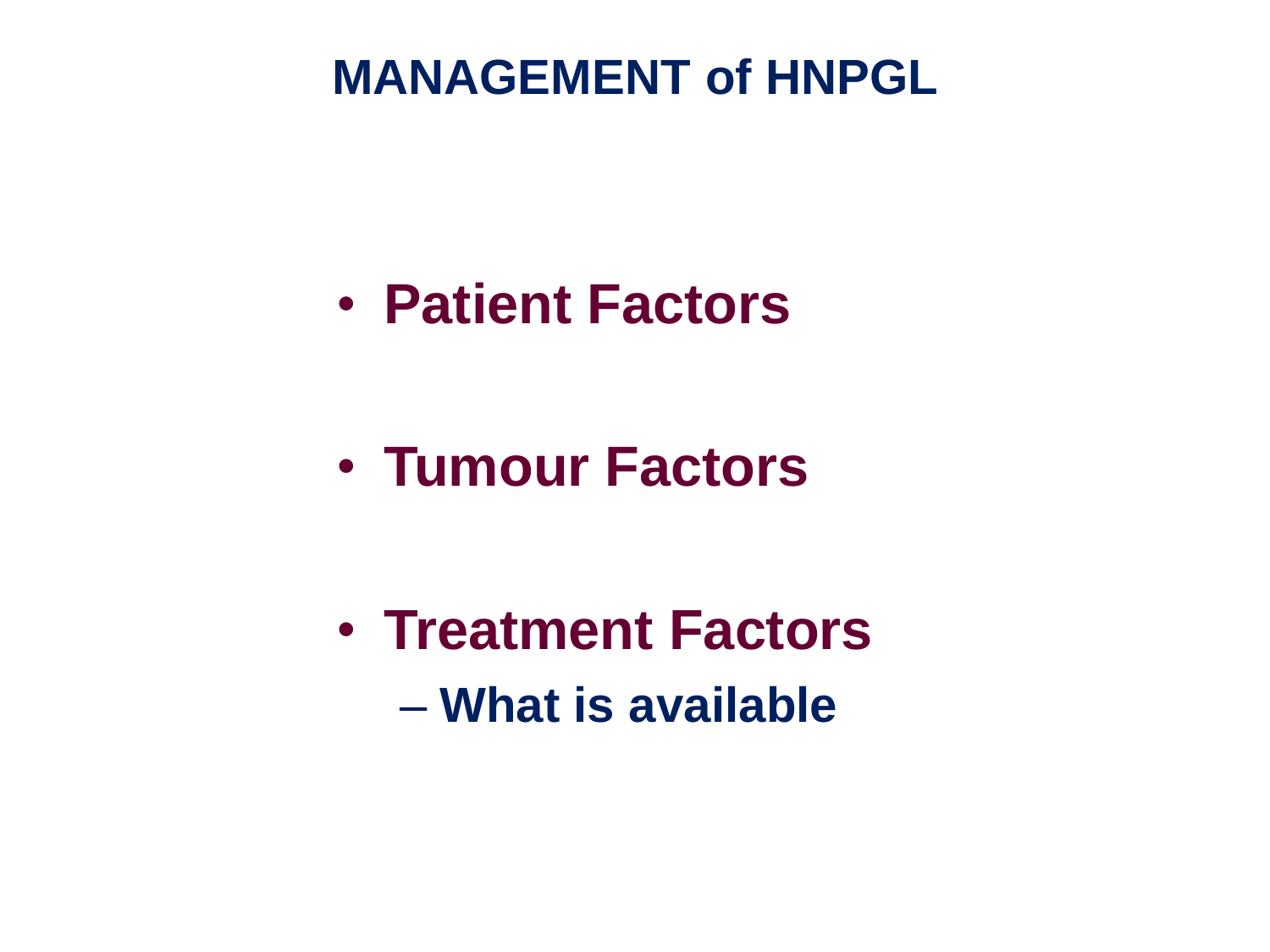• **Patient Factors**

• **Tumour Factors**

• **Treatment Factors** – **What is available**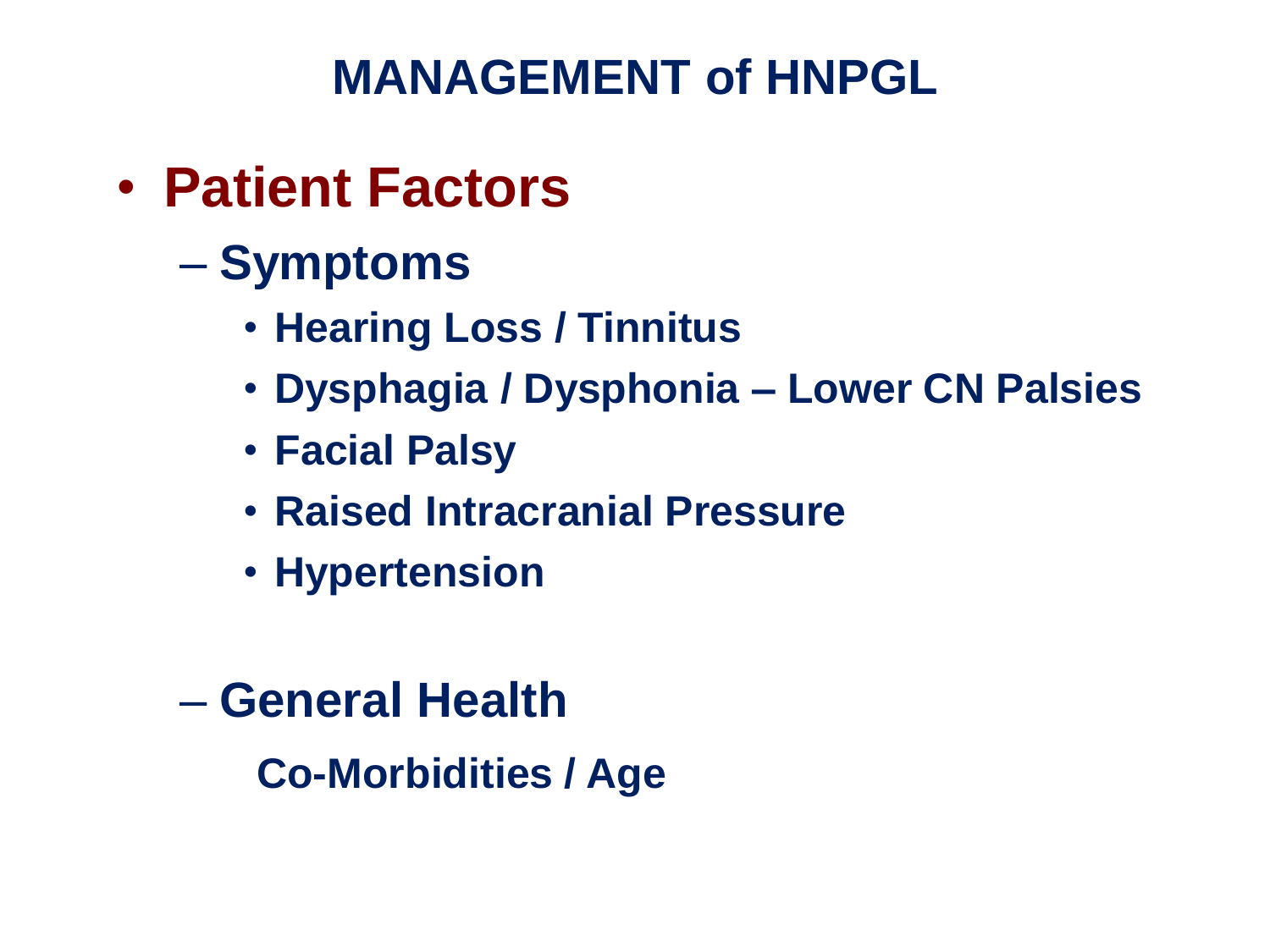- **Patient Factors**
	- **Symptoms** 
		- **Hearing Loss / Tinnitus**
		- **Dysphagia / Dysphonia – Lower CN Palsies**
		- **Facial Palsy**
		- **Raised Intracranial Pressure**
		- **Hypertension**
	- **General Health**

**Co-Morbidities / Age**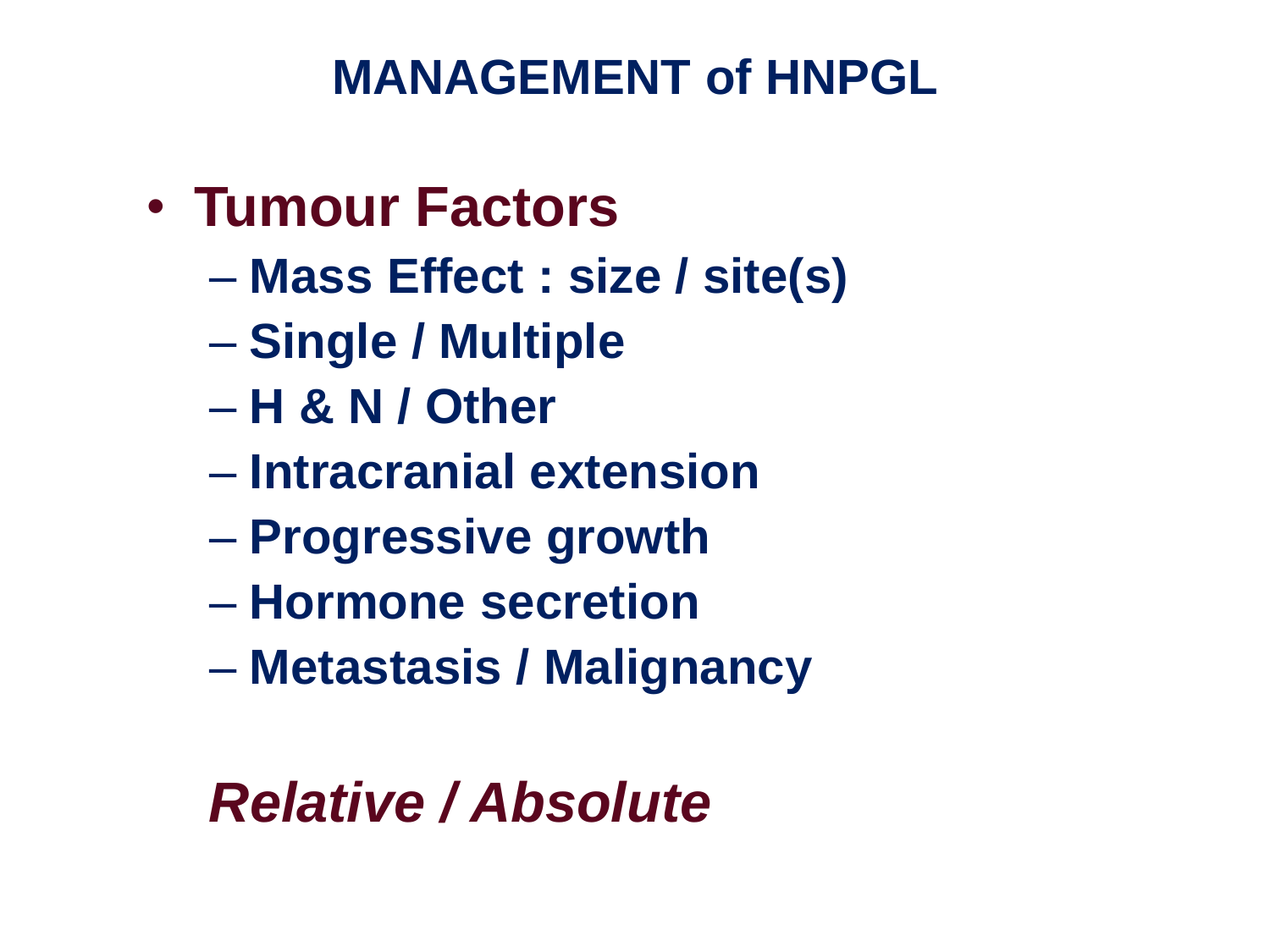- **Tumour Factors**
	- **Mass Effect : size / site(s)**
	- **Single / Multiple**
	- **H & N / Other**
	- **Intracranial extension**
	- **Progressive growth**
	- **Hormone secretion**
	- **Metastasis / Malignancy**

# *Relative / Absolute*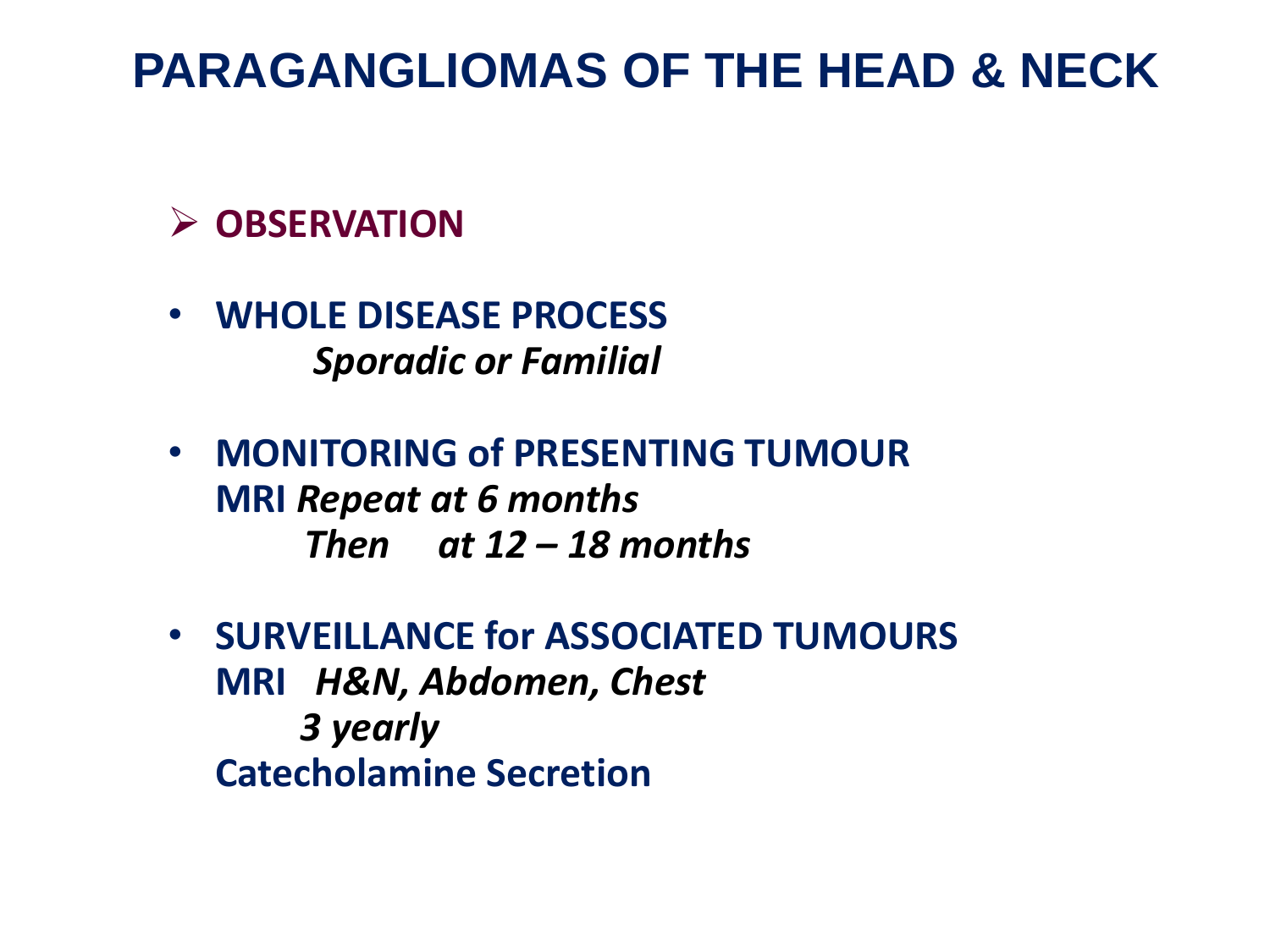#### **OBSERVATION**

- **WHOLE DISEASE PROCESS** *Sporadic or Familial*
- **MONITORING of PRESENTING TUMOUR MRI** *Repeat at 6 months Then at 12 – 18 months*
- **SURVEILLANCE for ASSOCIATED TUMOURS MRI** *H&N, Abdomen, Chest 3 yearly* **Catecholamine Secretion**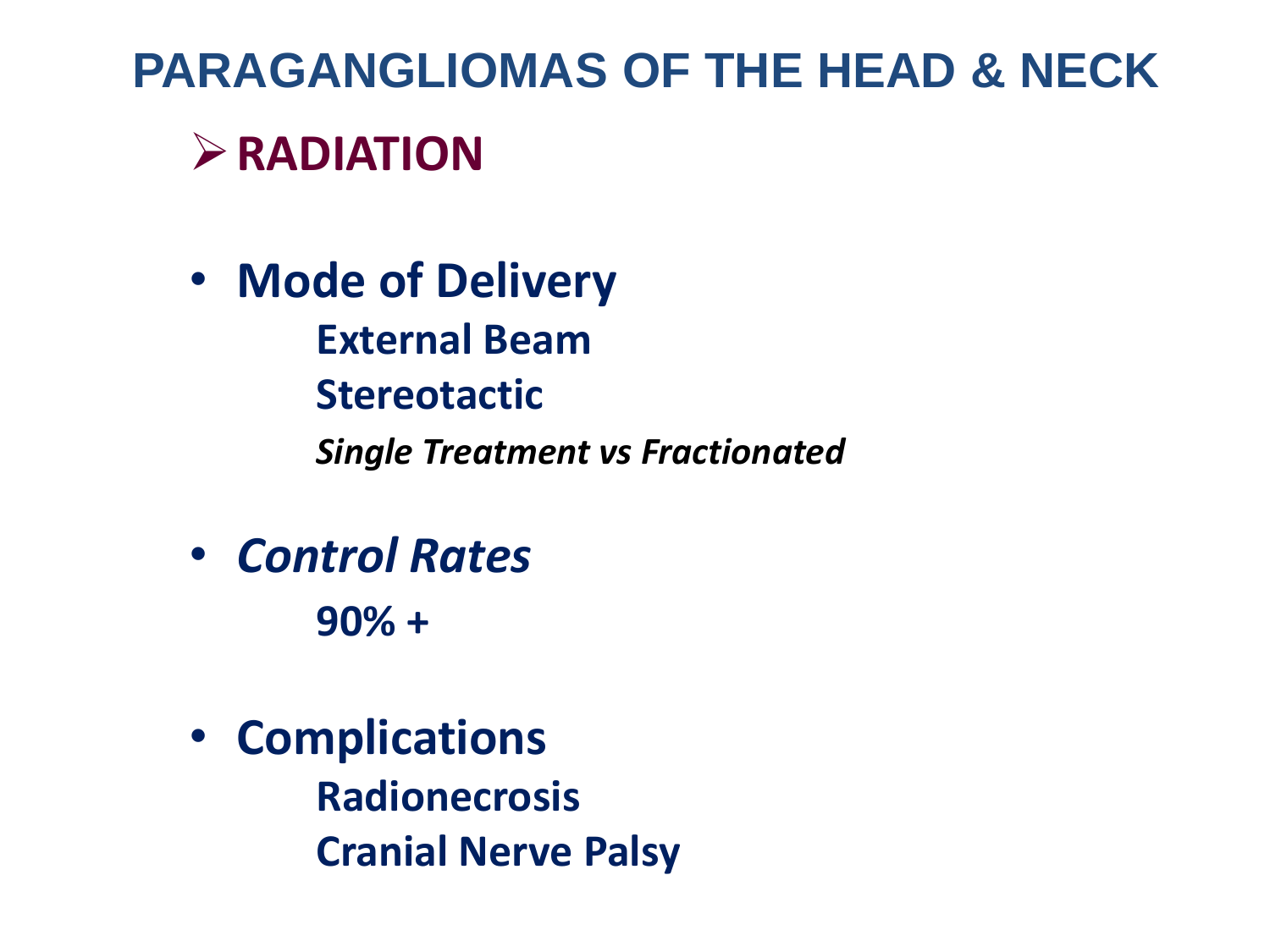#### **RADIATION**

- **Mode of Delivery External Beam Stereotactic** *Single Treatment vs Fractionated*
- *Control Rates* **90% +**
- **Complications Radionecrosis Cranial Nerve Palsy**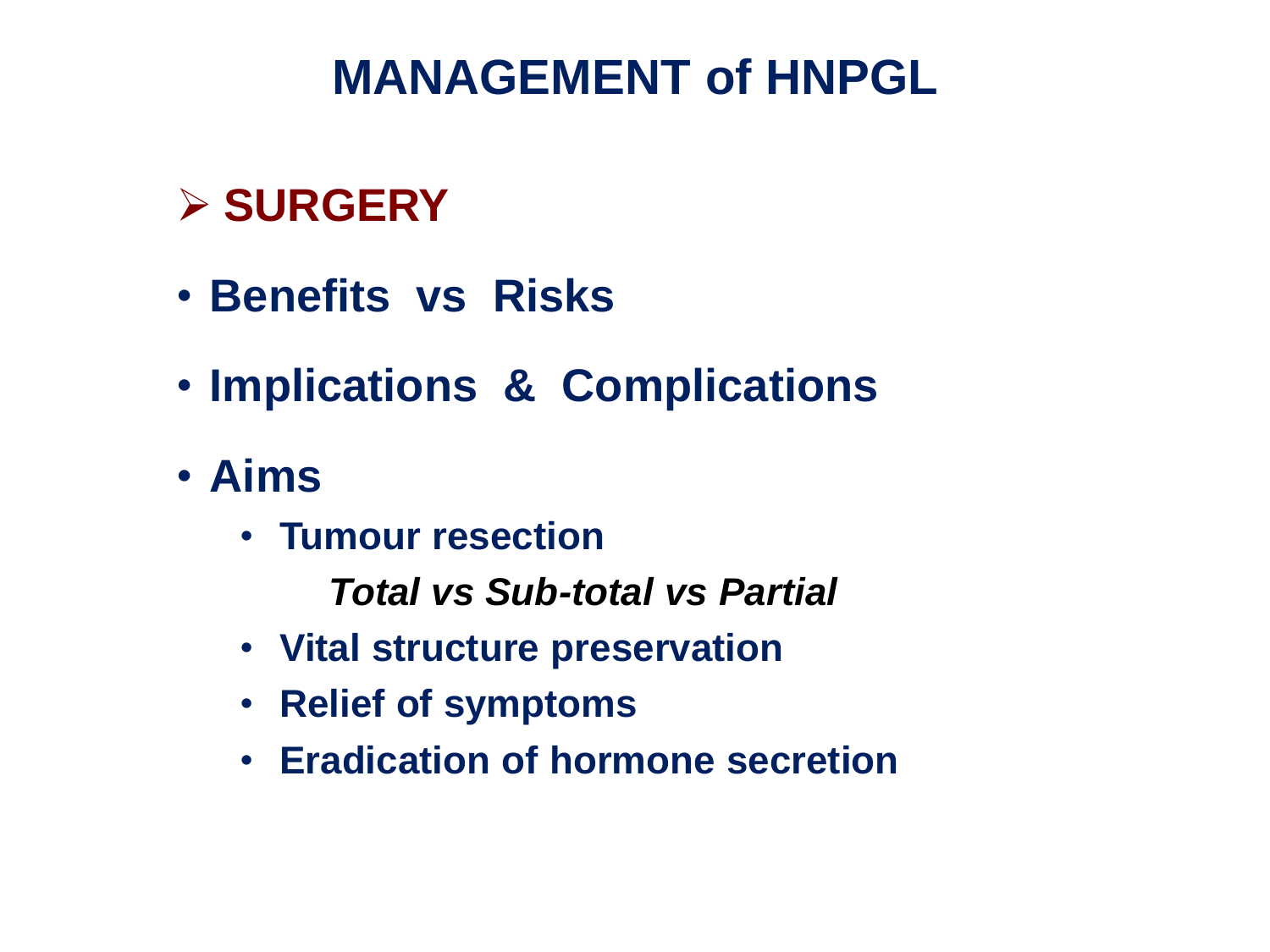#### **SURGERY**

- **Benefits vs Risks**
- **Implications & Complications**
- **Aims**
	- **Tumour resection**

 *Total vs Sub-total vs Partial*

- **Vital structure preservation**
- **Relief of symptoms**
- **Eradication of hormone secretion**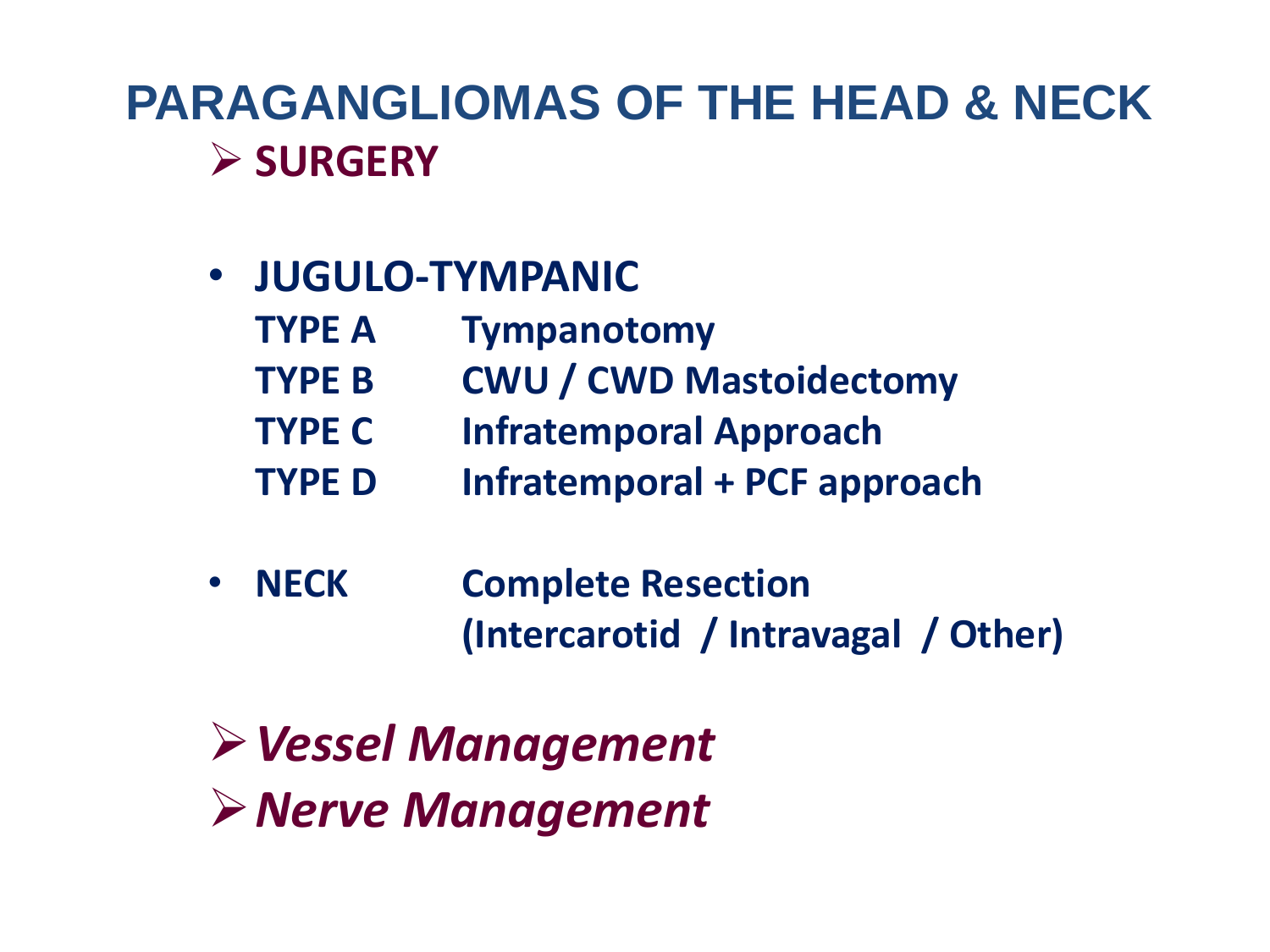#### **PARAGANGLIOMAS OF THE HEAD & NECK SURGERY**

- **JUGULO-TYMPANIC**
	- **TYPE A Tympanotomy**
		- **TYPE B CWU / CWD Mastoidectomy**
	- **TYPE C Infratemporal Approach**
	- **TYPE D Infratemporal + PCF approach**
- **NECK Complete Resection (Intercarotid / Intravagal / Other)**

*Vessel Management Nerve Management*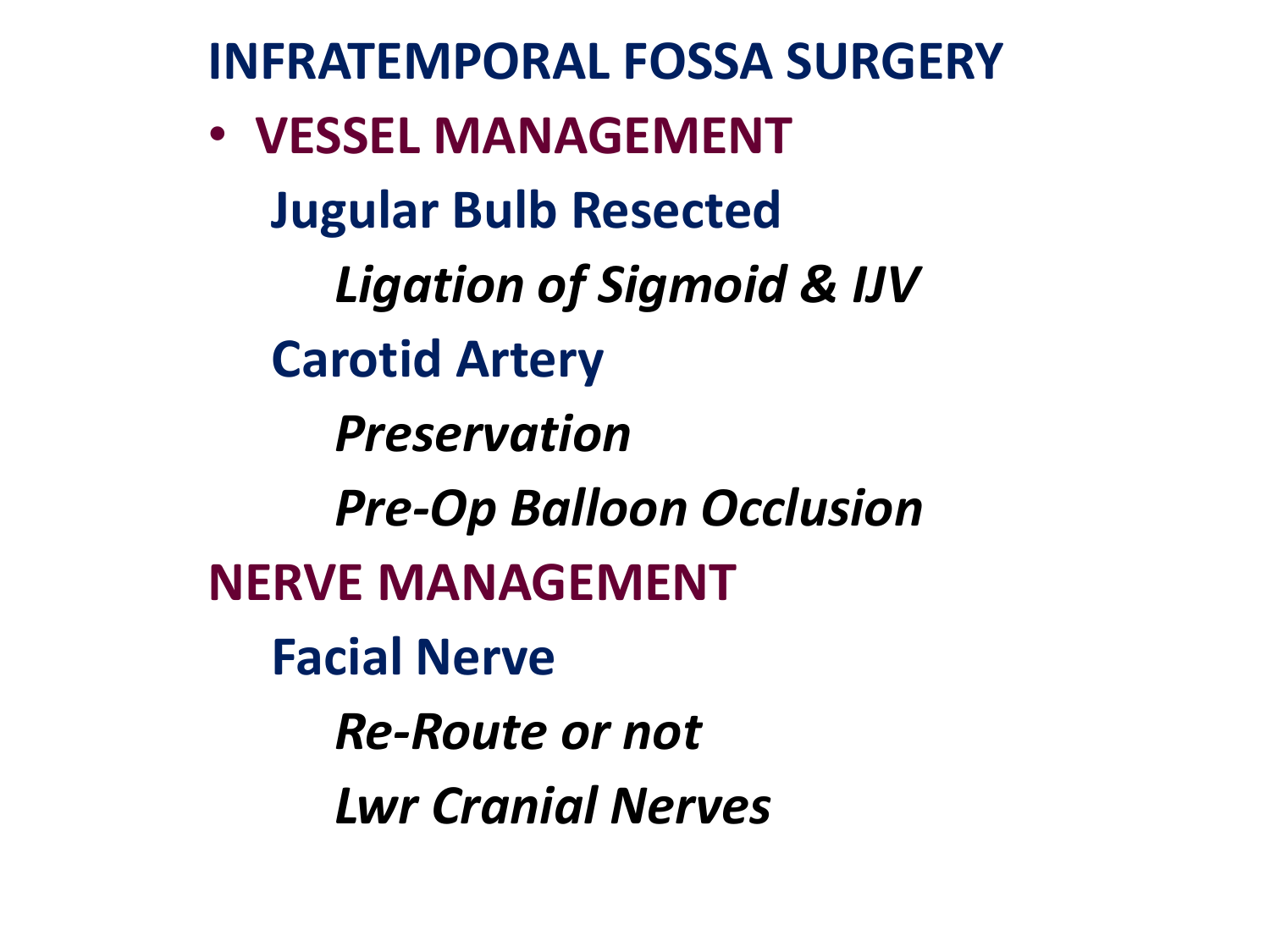**INFRATEMPORAL FOSSA SURGERY**

• **VESSEL MANAGEMENT Jugular Bulb Resected** *Ligation of Sigmoid & IJV*  **Carotid Artery** *Preservation Pre-Op Balloon Occlusion*  **NERVE MANAGEMENT Facial Nerve**  *Re-Route or not Lwr Cranial Nerves*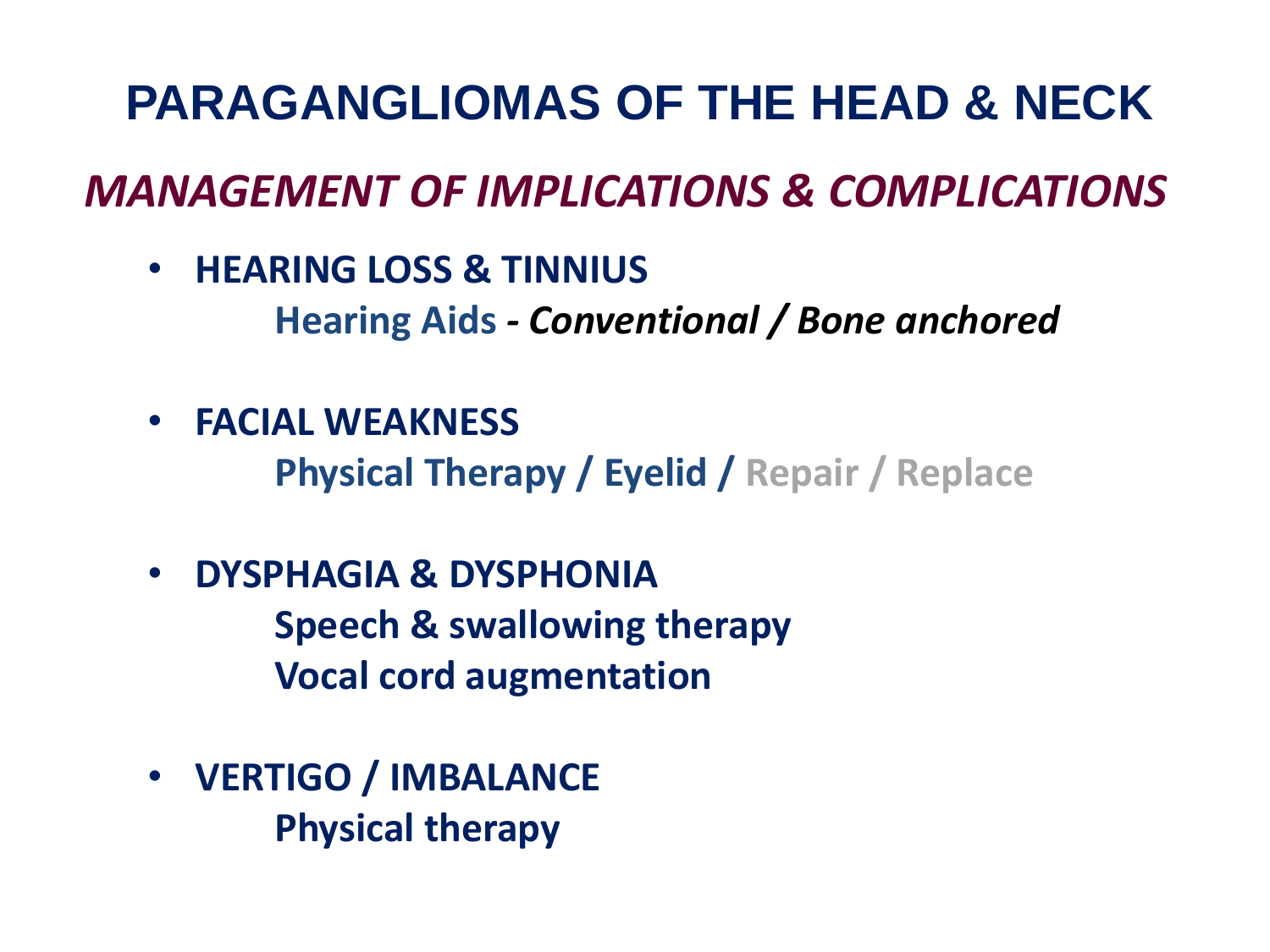#### *MANAGEMENT OF IMPLICATIONS & COMPLICATIONS*

- **HEARING LOSS & TINNIUS Hearing Aids** *- Conventional / Bone anchored*
- **FACIAL WEAKNESS**

**Physical Therapy / Eyelid / Repair / Replace**

- **DYSPHAGIA & DYSPHONIA Speech & swallowing therapy Vocal cord augmentation**
- **VERTIGO / IMBALANCE Physical therapy**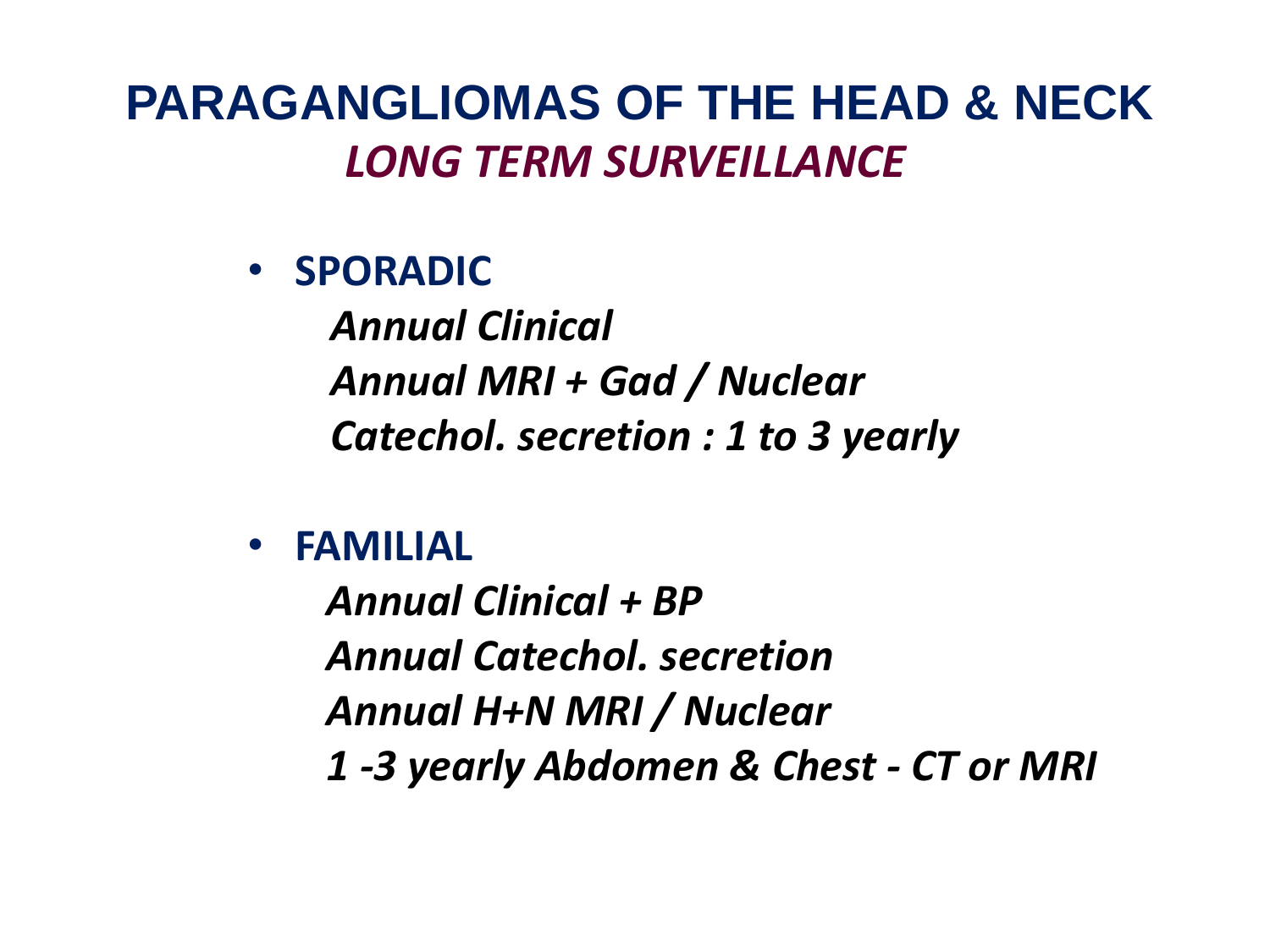#### **PARAGANGLIOMAS OF THE HEAD & NECK**  *LONG TERM SURVEILLANCE*

• **SPORADIC**

*Annual Clinical Annual MRI + Gad / Nuclear Catechol. secretion : 1 to 3 yearly*

• **FAMILIAL**

*Annual Clinical + BP Annual Catechol. secretion Annual H+N MRI / Nuclear 1 -3 yearly Abdomen & Chest - CT or MRI*